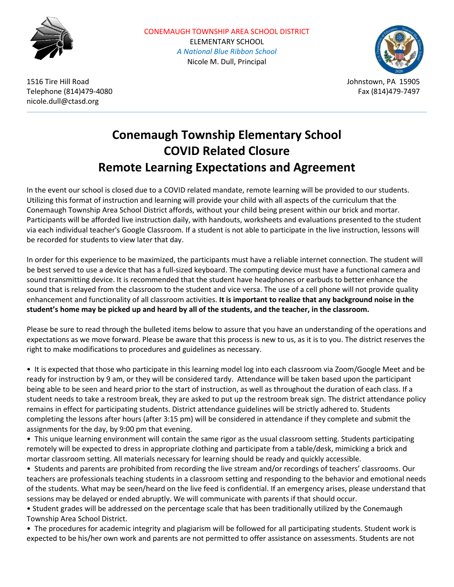



Telephone (814)479-4080 Fax (814)479-7497 nicole.dull@ctasd.org

## **Conemaugh Township Elementary School COVID Related Closure Remote Learning Expectations and Agreement**

In the event our school is closed due to a COVID related mandate, remote learning will be provided to our students. Utilizing this format of instruction and learning will provide your child with all aspects of the curriculum that the Conemaugh Township Area School District affords, without your child being present within our brick and mortar. Participants will be afforded live instruction daily, with handouts, worksheets and evaluations presented to the student via each individual teacher's Google Classroom. If a student is not able to participate in the live instruction, lessons will be recorded for students to view later that day.

In order for this experience to be maximized, the participants must have a reliable internet connection. The student will be best served to use a device that has a full-sized keyboard. The computing device must have a functional camera and sound transmitting device. It is recommended that the student have headphones or earbuds to better enhance the sound that is relayed from the classroom to the student and vice versa. The use of a cell phone will not provide quality enhancement and functionality of all classroom activities. **It is important to realize that any background noise in the student's home may be picked up and heard by all of the students, and the teacher, in the classroom.**

Please be sure to read through the bulleted items below to assure that you have an understanding of the operations and expectations as we move forward. Please be aware that this process is new to us, as it is to you. The district reserves the right to make modifications to procedures and guidelines as necessary.

• It is expected that those who participate in this learning model log into each classroom via Zoom/Google Meet and be ready for instruction by 9 am, or they will be considered tardy. Attendance will be taken based upon the participant being able to be seen and heard prior to the start of instruction, as well as throughout the duration of each class. If a student needs to take a restroom break, they are asked to put up the restroom break sign. The district attendance policy remains in effect for participating students. District attendance guidelines will be strictly adhered to. Students completing the lessons after hours (after 3:15 pm) will be considered in attendance if they complete and submit the assignments for the day, by 9:00 pm that evening.

• This unique learning environment will contain the same rigor as the usual classroom setting. Students participating remotely will be expected to dress in appropriate clothing and participate from a table/desk, mimicking a brick and mortar classroom setting. All materials necessary for learning should be ready and quickly accessible.

• Students and parents are prohibited from recording the live stream and/or recordings of teachers' classrooms. Our teachers are professionals teaching students in a classroom setting and responding to the behavior and emotional needs of the students. What may be seen/heard on the live feed is confidential. If an emergency arises, please understand that sessions may be delayed or ended abruptly. We will communicate with parents if that should occur.

• Student grades will be addressed on the percentage scale that has been traditionally utilized by the Conemaugh Township Area School District.

• The procedures for academic integrity and plagiarism will be followed for all participating students. Student work is expected to be his/her own work and parents are not permitted to offer assistance on assessments. Students are not